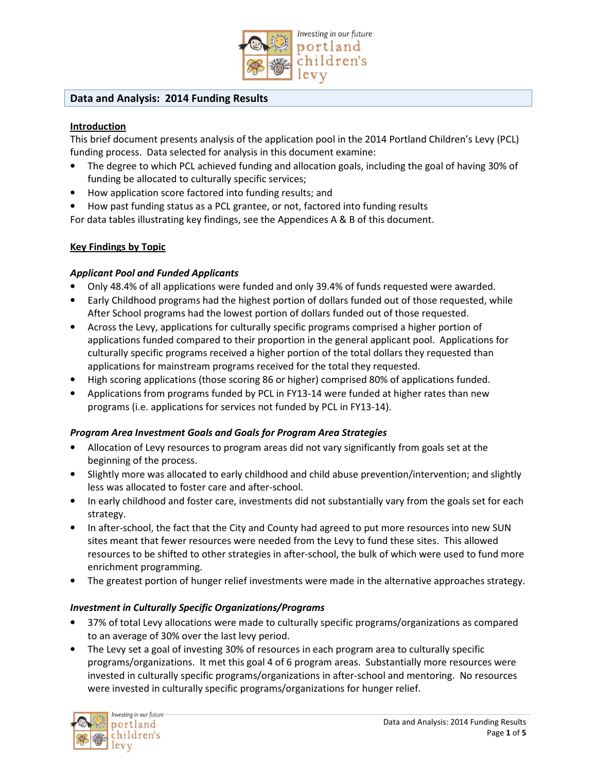

## **Data and Analysis: 2014 Funding Results**

## **Introduction**

This brief document presents analysis of the application pool in the 2014 Portland Children's Levy (PCL) funding process. Data selected for analysis in this document examine:

- The degree to which PCL achieved funding and allocation goals, including the goal of having 30% of funding be allocated to culturally specific services;
- How application score factored into funding results; and
- How past funding status as a PCL grantee, or not, factored into funding results

For data tables illustrating key findings, see the Appendices A & B of this document.

## **Key Findings by Topic**

## *Applicant Pool and Funded Applicants*

- Only 48.4% of all applications were funded and only 39.4% of funds requested were awarded.
- Early Childhood programs had the highest portion of dollars funded out of those requested, while After School programs had the lowest portion of dollars funded out of those requested.
- Across the Levy, applications for culturally specific programs comprised a higher portion of applications funded compared to their proportion in the general applicant pool. Applications for culturally specific programs received a higher portion of the total dollars they requested than applications for mainstream programs received for the total they requested.
- High scoring applications (those scoring 86 or higher) comprised 80% of applications funded.
- Applications from programs funded by PCL in FY13-14 were funded at higher rates than new programs (i.e. applications for services not funded by PCL in FY13-14).

## *Program Area Investment Goals and Goals for Program Area Strategies*

- Allocation of Levy resources to program areas did not vary significantly from goals set at the beginning of the process.
- Slightly more was allocated to early childhood and child abuse prevention/intervention; and slightly less was allocated to foster care and after-school.
- In early childhood and foster care, investments did not substantially vary from the goals set for each strategy.
- In after-school, the fact that the City and County had agreed to put more resources into new SUN sites meant that fewer resources were needed from the Levy to fund these sites. This allowed resources to be shifted to other strategies in after-school, the bulk of which were used to fund more enrichment programming.
- The greatest portion of hunger relief investments were made in the alternative approaches strategy.

# *Investment in Culturally Specific Organizations/Programs*

- 37% of total Levy allocations were made to culturally specific programs/organizations as compared to an average of 30% over the last levy period.
- The Levy set a goal of investing 30% of resources in each program area to culturally specific programs/organizations. It met this goal 4 of 6 program areas. Substantially more resources were invested in culturally specific programs/organizations in after-school and mentoring. No resources were invested in culturally specific programs/organizations for hunger relief.

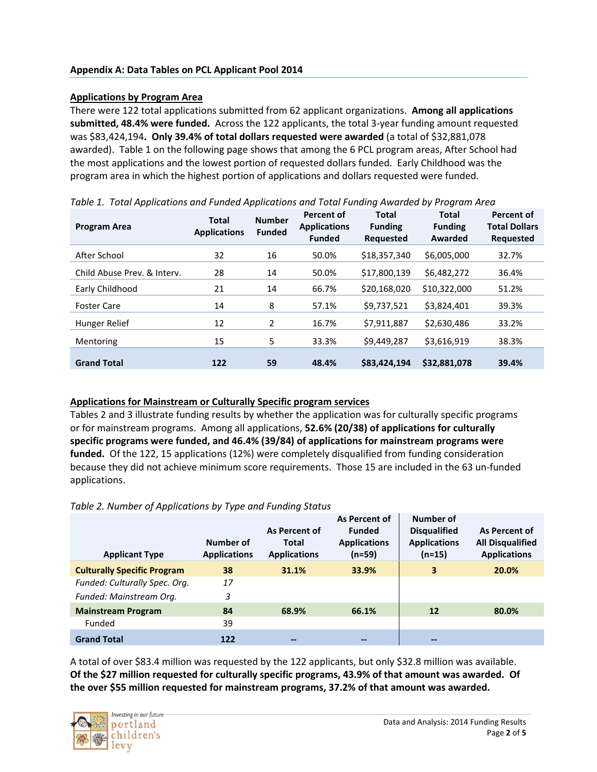## **Applications by Program Area**

There were 122 total applications submitted from 62 applicant organizations. **Among all applications submitted, 48.4% were funded.** Across the 122 applicants, the total 3-year funding amount requested was \$83,424,194**. Only 39.4% of total dollars requested were awarded** (a total of \$32,881,078 awarded). Table 1 on the following page shows that among the 6 PCL program areas, After School had the most applications and the lowest portion of requested dollars funded. Early Childhood was the program area in which the highest portion of applications and dollars requested were funded.

| <b>Program Area</b>         | <b>Total</b><br><b>Applications</b> | <b>Number</b><br><b>Funded</b> | <b>Percent of</b><br><b>Applications</b><br><b>Funded</b> | <b>Total</b><br><b>Funding</b><br><b>Requested</b> | Total<br><b>Funding</b><br>Awarded | <b>Percent of</b><br><b>Total Dollars</b><br><b>Requested</b> |
|-----------------------------|-------------------------------------|--------------------------------|-----------------------------------------------------------|----------------------------------------------------|------------------------------------|---------------------------------------------------------------|
| After School                | 32                                  | 16                             | 50.0%                                                     | \$18,357,340                                       | \$6,005,000                        | 32.7%                                                         |
| Child Abuse Prev. & Interv. | 28                                  | 14                             | 50.0%                                                     | \$17,800,139                                       | \$6,482,272                        | 36.4%                                                         |
| Early Childhood             | 21                                  | 14                             | 66.7%                                                     | \$20,168,020                                       | \$10,322,000                       | 51.2%                                                         |
| <b>Foster Care</b>          | 14                                  | 8                              | 57.1%                                                     | \$9,737,521                                        | \$3,824,401                        | 39.3%                                                         |
| Hunger Relief               | 12                                  | $\mathbf{2}$                   | 16.7%                                                     | \$7,911,887                                        | \$2,630,486                        | 33.2%                                                         |
| Mentoring                   | 15                                  | 5                              | 33.3%                                                     | \$9,449,287                                        | \$3,616,919                        | 38.3%                                                         |
| <b>Grand Total</b>          | 122                                 | 59                             | 48.4%                                                     | \$83,424,194                                       | \$32,881,078                       | 39.4%                                                         |

*Table 1. Total Applications and Funded Applications and Total Funding Awarded by Program Area* 

#### **Applications for Mainstream or Culturally Specific program services**

Tables 2 and 3 illustrate funding results by whether the application was for culturally specific programs or for mainstream programs. Among all applications, **52.6% (20/38) of applications for culturally specific programs were funded, and 46.4% (39/84) of applications for mainstream programs were funded.** Of the 122, 15 applications (12%) were completely disqualified from funding consideration because they did not achieve minimum score requirements. Those 15 are included in the 63 un-funded applications.

#### *Table 2. Number of Applications by Type and Funding Status*

| <b>Applicant Type</b>              | Number of<br><b>Applications</b> | As Percent of<br><b>Total</b><br><b>Applications</b> | As Percent of<br><b>Funded</b><br><b>Applications</b><br>(n=59) | Number of<br><b>Disqualified</b><br><b>Applications</b><br>$(n=15)$ | As Percent of<br><b>All Disqualified</b><br><b>Applications</b> |
|------------------------------------|----------------------------------|------------------------------------------------------|-----------------------------------------------------------------|---------------------------------------------------------------------|-----------------------------------------------------------------|
| <b>Culturally Specific Program</b> | 38                               | 31.1%                                                | 33.9%                                                           | 3                                                                   | 20.0%                                                           |
| Funded: Culturally Spec. Org.      | 17                               |                                                      |                                                                 |                                                                     |                                                                 |
| Funded: Mainstream Org.            | 3                                |                                                      |                                                                 |                                                                     |                                                                 |
| <b>Mainstream Program</b>          | 84                               | 68.9%                                                | 66.1%                                                           | 12                                                                  | 80.0%                                                           |
| Funded                             | 39                               |                                                      |                                                                 |                                                                     |                                                                 |
| <b>Grand Total</b>                 | 122                              | $- -$                                                | $- -$                                                           | --                                                                  |                                                                 |

A total of over \$83.4 million was requested by the 122 applicants, but only \$32.8 million was available. **Of the \$27 million requested for culturally specific programs, 43.9% of that amount was awarded. Of the over \$55 million requested for mainstream programs, 37.2% of that amount was awarded.**

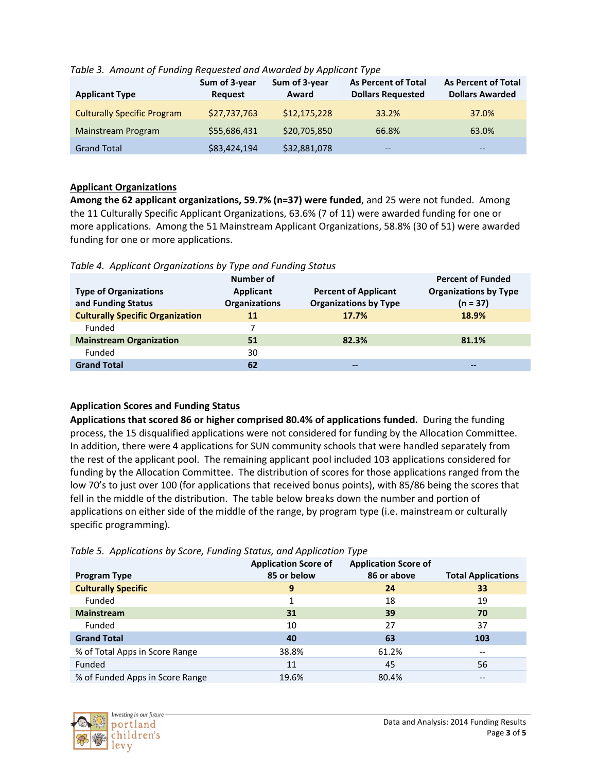| <b>Applicant Type</b>              | Sum of 3-year<br><b>Request</b> | Sum of 3-year<br>Award | <b>As Percent of Total</b><br><b>Dollars Requested</b> | <b>As Percent of Total</b><br><b>Dollars Awarded</b> |
|------------------------------------|---------------------------------|------------------------|--------------------------------------------------------|------------------------------------------------------|
| <b>Culturally Specific Program</b> | \$27,737,763                    | \$12,175,228           | 33.2%                                                  | 37.0%                                                |
| Mainstream Program                 | \$55,686,431                    | \$20,705,850           | 66.8%                                                  | 63.0%                                                |
| <b>Grand Total</b>                 | \$83,424,194                    | \$32,881,078           | $- -$                                                  | $- -$                                                |

## *Table 3. Amount of Funding Requested and Awarded by Applicant Type*

## **Applicant Organizations**

**Among the 62 applicant organizations, 59.7% (n=37) were funded**, and 25 were not funded. Among the 11 Culturally Specific Applicant Organizations, 63.6% (7 of 11) were awarded funding for one or more applications. Among the 51 Mainstream Applicant Organizations, 58.8% (30 of 51) were awarded funding for one or more applications.

| <b>Type of Organizations</b><br>and Funding Status | Number of<br><b>Applicant</b><br><b>Organizations</b> | <b>Percent of Applicant</b><br><b>Organizations by Type</b> | <b>Percent of Funded</b><br><b>Organizations by Type</b><br>$(n = 37)$ |
|----------------------------------------------------|-------------------------------------------------------|-------------------------------------------------------------|------------------------------------------------------------------------|
| <b>Culturally Specific Organization</b>            | 11                                                    | 17.7%                                                       | 18.9%                                                                  |
| Funded                                             |                                                       |                                                             |                                                                        |
| <b>Mainstream Organization</b>                     | 51                                                    | 82.3%                                                       | 81.1%                                                                  |
| Funded                                             | 30                                                    |                                                             |                                                                        |
| <b>Grand Total</b>                                 | 62                                                    | --                                                          | $- -$                                                                  |

### *Table 4. Applicant Organizations by Type and Funding Status*

## **Application Scores and Funding Status**

**Applications that scored 86 or higher comprised 80.4% of applications funded.** During the funding process, the 15 disqualified applications were not considered for funding by the Allocation Committee. In addition, there were 4 applications for SUN community schools that were handled separately from the rest of the applicant pool. The remaining applicant pool included 103 applications considered for funding by the Allocation Committee. The distribution of scores for those applications ranged from the low 70's to just over 100 (for applications that received bonus points), with 85/86 being the scores that fell in the middle of the distribution. The table below breaks down the number and portion of applications on either side of the middle of the range, by program type (i.e. mainstream or culturally specific programming).

|  |  | Table 5. Applications by Score, Funding Status, and Application Type |  |
|--|--|----------------------------------------------------------------------|--|
|  |  |                                                                      |  |
|  |  |                                                                      |  |

| <b>Program Type</b>             | <b>Application Score of</b><br>85 or below | <b>Application Score of</b><br>86 or above | <b>Total Applications</b> |
|---------------------------------|--------------------------------------------|--------------------------------------------|---------------------------|
| <b>Culturally Specific</b>      | 9                                          | 24                                         | 33                        |
| Funded                          |                                            | 18                                         | 19                        |
| <b>Mainstream</b>               | 31                                         | 39                                         | 70                        |
| Funded                          | 10                                         | 27                                         | 37                        |
| <b>Grand Total</b>              | 40                                         | 63                                         | 103                       |
| % of Total Apps in Score Range  | 38.8%                                      | 61.2%                                      | --                        |
| Funded                          | 11                                         | 45                                         | 56                        |
| % of Funded Apps in Score Range | 19.6%                                      | 80.4%                                      | $- -$                     |

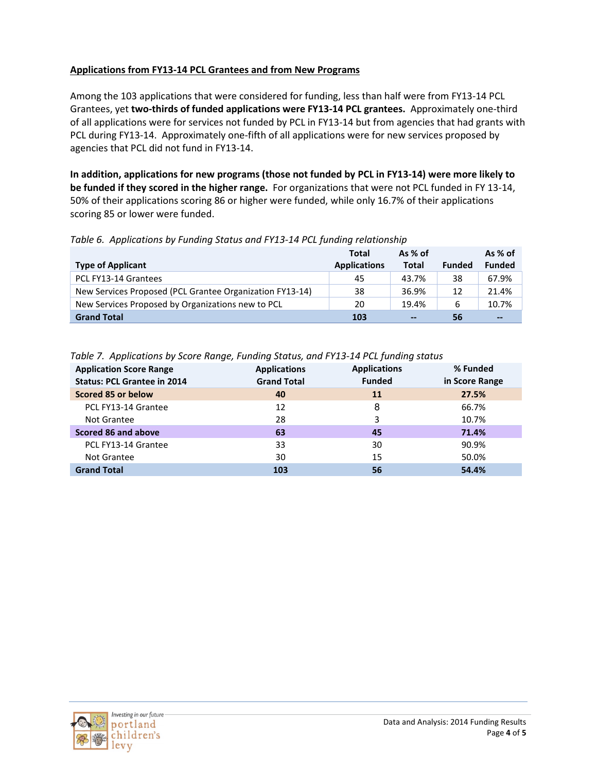# **Applications from FY13-14 PCL Grantees and from New Programs**

Among the 103 applications that were considered for funding, less than half were from FY13-14 PCL Grantees, yet **two-thirds of funded applications were FY13-14 PCL grantees.** Approximately one-third of all applications were for services not funded by PCL in FY13-14 but from agencies that had grants with PCL during FY13-14. Approximately one-fifth of all applications were for new services proposed by agencies that PCL did not fund in FY13-14.

**In addition, applications for new programs (those not funded by PCL in FY13-14) were more likely to be funded if they scored in the higher range.** For organizations that were not PCL funded in FY 13-14, 50% of their applications scoring 86 or higher were funded, while only 16.7% of their applications scoring 85 or lower were funded.

## *Table 6. Applications by Funding Status and FY13-14 PCL funding relationship*

|                                                          | <b>Total</b>        | As $%$ of |               | As % of       |
|----------------------------------------------------------|---------------------|-----------|---------------|---------------|
| <b>Type of Applicant</b>                                 | <b>Applications</b> | Total     | <b>Funded</b> | <b>Funded</b> |
| PCL FY13-14 Grantees                                     | 45                  | 43.7%     | 38            | 67.9%         |
| New Services Proposed (PCL Grantee Organization FY13-14) | 38                  | 36.9%     | 12            | 21.4%         |
| New Services Proposed by Organizations new to PCL        | 20                  | 19.4%     | 6             | 10.7%         |
| <b>Grand Total</b>                                       | 103                 | $\sim$    | 56            | $\sim$        |

### *Table 7. Applications by Score Range, Funding Status, and FY13-14 PCL funding status*

| <b>Application Score Range</b>     | <b>Applications</b> | <b>Applications</b> | % Funded       |
|------------------------------------|---------------------|---------------------|----------------|
| <b>Status: PCL Grantee in 2014</b> | <b>Grand Total</b>  | <b>Funded</b>       | in Score Range |
| Scored 85 or below                 | 40                  | 11                  | 27.5%          |
| PCL FY13-14 Grantee                | 12                  | 8                   | 66.7%          |
| Not Grantee                        | 28                  | 3                   | 10.7%          |
| Scored 86 and above                | 63                  | 45                  | 71.4%          |
| PCL FY13-14 Grantee                | 33                  | 30                  | 90.9%          |
| Not Grantee                        | 30                  | 15                  | 50.0%          |
| <b>Grand Total</b>                 | 103                 | 56                  | 54.4%          |